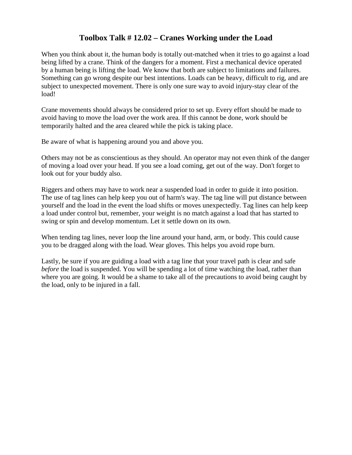## **Toolbox Talk # 12.02 – Cranes Working under the Load**

When you think about it, the human body is totally out-matched when it tries to go against a load being lifted by a crane. Think of the dangers for a moment. First a mechanical device operated by a human being is lifting the load. We know that both are subject to limitations and failures. Something can go wrong despite our best intentions. Loads can be heavy, difficult to rig, and are subject to unexpected movement. There is only one sure way to avoid injury-stay clear of the load!

Crane movements should always be considered prior to set up. Every effort should be made to avoid having to move the load over the work area. If this cannot be done, work should be temporarily halted and the area cleared while the pick is taking place.

Be aware of what is happening around you and above you.

Others may not be as conscientious as they should. An operator may not even think of the danger of moving a load over your head. If you see a load coming, get out of the way. Don't forget to look out for your buddy also.

Riggers and others may have to work near a suspended load in order to guide it into position. The use of tag lines can help keep you out of harm's way. The tag line will put distance between yourself and the load in the event the load shifts or moves unexpectedly. Tag lines can help keep a load under control but, remember, your weight is no match against a load that has started to swing or spin and develop momentum. Let it settle down on its own.

When tending tag lines, never loop the line around your hand, arm, or body. This could cause you to be dragged along with the load. Wear gloves. This helps you avoid rope burn.

Lastly, be sure if you are guiding a load with a tag line that your travel path is clear and safe *before* the load is suspended. You will be spending a lot of time watching the load, rather than where you are going. It would be a shame to take all of the precautions to avoid being caught by the load, only to be injured in a fall.